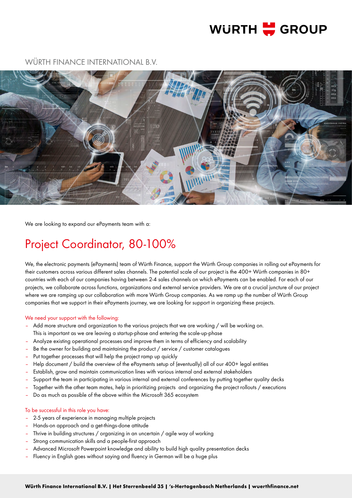# **WURTH H**GROUP

# boxing to expand our ePayments team with a:<br>
ection of the properties are mainly and the state of the properties with Group companies in rolling out ePayments<br>
electronic payments (ePayments) team of Wurlt Finance, support

WÜRTH FINANCE INTERNATIONAL B.V.

We are looking to expand our ePayments team with a:

# Project Coordinator, 80-100%

We, the electronic payments (ePayments) team of Würth Finance, support the Würth Group companies in rolling out ePayments for their customers across various different sales channels. The potential scale of our project is the 400+ Würth companies in 80+ countries with each of our companies having between 2-4 sales channels on which ePayments can be enabled. For each of our projects, we collaborate across functions, organizations and external service providers. We are at a crucial juncture of our project where we are ramping up our collaboration with more Würth Group companies. As we ramp up the number of Würth Group companies that we support in their ePayments journey, we are looking for support in organizing these projects.

# We need your support with the following:

- Add more structure and organization to the various projects that we are working / will be working on. This is important as we are leaving a startup-phase and entering the scale-up-phase
- Analyze existing operational processes and improve them in terms of efficiency and scalability
- Be the owner for building and maintaining the product / service / customer catalogues
- Put together processes that will help the project ramp up quickly
- Help document / build the overview of the ePayments setup of (eventually) all of our 400+ legal entities
- Establish, grow and maintain communication lines with various internal and external stakeholders
- Support the team in participating in various internal and external conferences by putting together quality decks
- Together with the other team mates, help in prioritizing projects and organizing the project rollouts / executions
- Do as much as possible of the above within the Microsoft 365 ecosystem

# To be successful in this role you have:

- 2-5 years of experience in managing multiple projects
- Hands-on approach and a get-things-done attitude
- Thrive in building structures / organizing in an uncertain / agile way of working
- Strong communication skills and a people-first approach
- Advanced Microsoft Powerpoint knowledge and ability to build high quality presentation decks
- Fluency in English goes without saying and fluency in German will be a huge plus